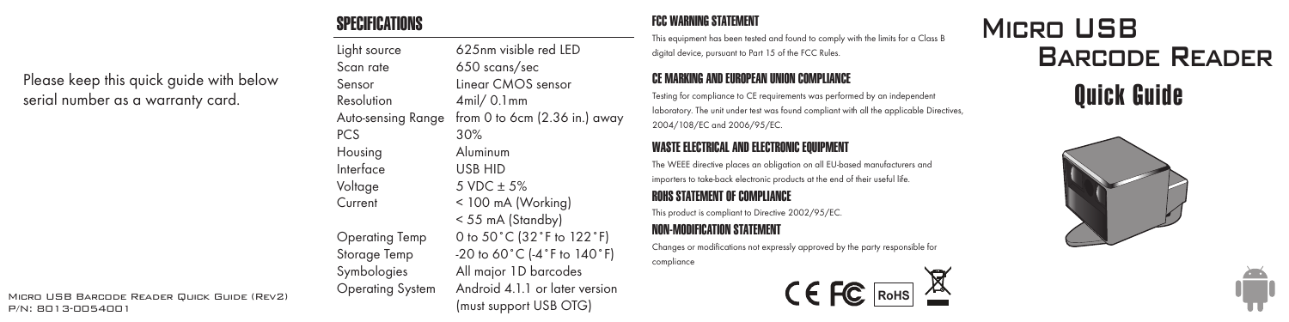## SPECIFICATIONS

Please keep this quick guide with below serial number as a warranty card.

Light source 625nm visible red LED<br>Scan rate 650 scans/sec  $650$  scans/sec Sensor Linear CMOS sensor Resolution 4mil/ 0.1mm<br>Auto-sensing Range from 0 to 6cm from 0 to 6cm  $(2.36$  in.) away PCS 30% Housing Aluminum Interface USB HID Voltage  $5 \text{ VDC} \pm 5\%$ Current < 100 mA (Working) < 55 mA (Standby) Operating Temp 0 to 50˚C (32˚F to 122˚F) Storage Temp  $-20$  to 60 °C (-4 °F to 140 °F) Symbologies All major 1D barcodes Operating System Android 4.1.1 or later version (must support USB OTG)

#### FCC WARNING STATEMENT

This equipment has been tested and found to comply with the limits for a Class B digital device, pursuant to Part 15 of the FCC Rules.

#### CE MARKING AND EUROPEAN UNION COMPLIANCE

Testing for compliance to CE requirements was performed by an independent laboratory. The unit under test was found compliant with all the applicable Directives, 2004/108/EC and 2006/95/EC.

#### WASTE ELECTRICAL AND ELECTRONIC EQUIPMENT

The WEEE directive places an obligation on all EU-based manufacturers and importers to take-back electronic products at the end of their useful life.

#### ROHS STATEMENT OF COMPLIANCE

This product is compliant to Directive 2002/95/EC.

### NON-MODIFICATION STATEMENT

Changes or modifications not expressly approved by the party responsible for compliance



# Micro USB Barcode Reader





MICRO USB BARCODE READER QUICK GUIDE (REV2)